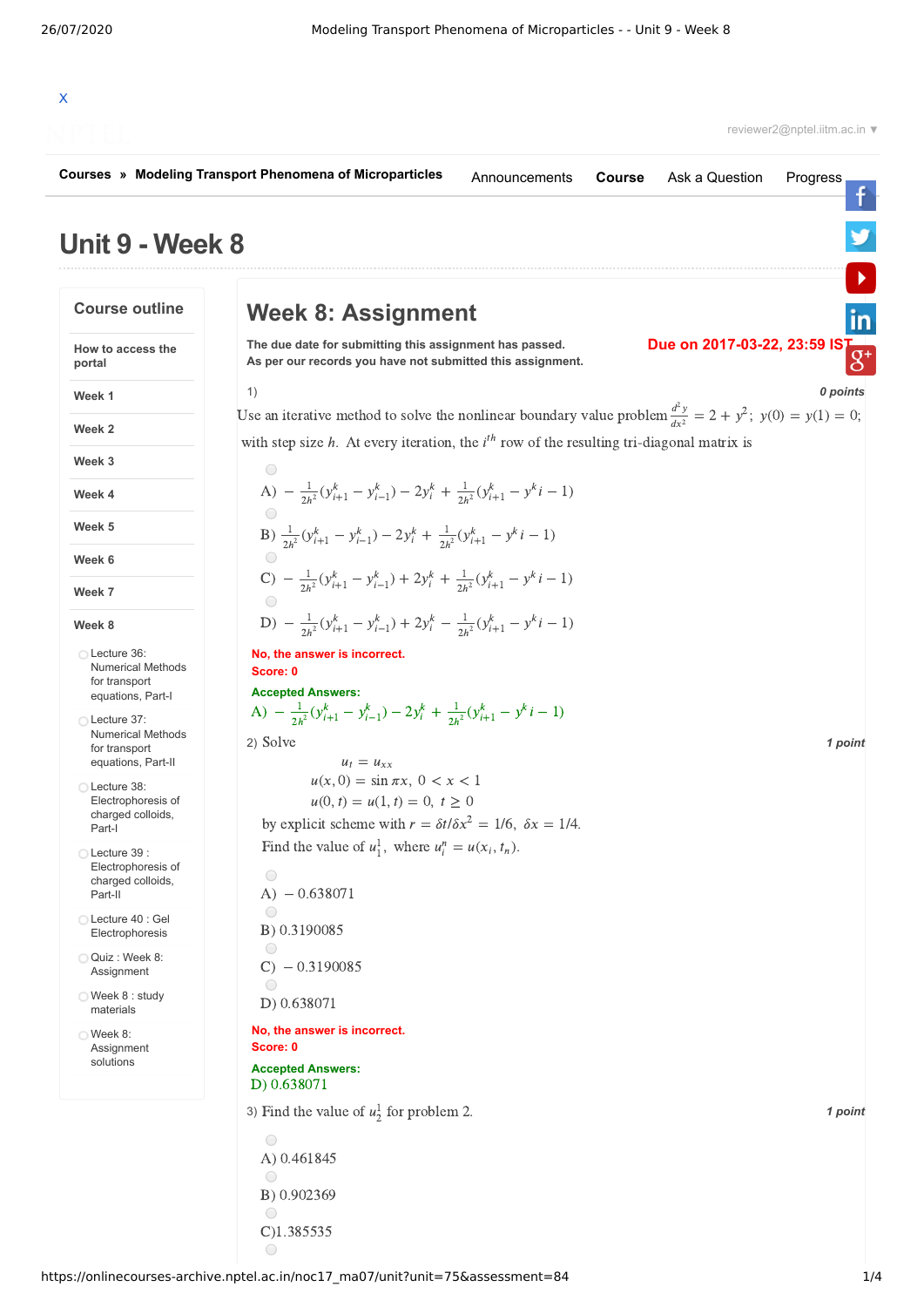| Courses » Modeling Transport Phenomena of Microparticles                                         | Announcements                                                                                                                                                        | <b>Course</b> | Ask a Question | Progress                                     |          |
|--------------------------------------------------------------------------------------------------|----------------------------------------------------------------------------------------------------------------------------------------------------------------------|---------------|----------------|----------------------------------------------|----------|
| Unit 9 - Week 8                                                                                  |                                                                                                                                                                      |               |                |                                              |          |
| <b>Course outline</b>                                                                            | <b>Week 8: Assignment</b>                                                                                                                                            |               |                |                                              | in       |
| How to access the<br>portal                                                                      | The due date for submitting this assignment has passed.<br>As per our records you have not submitted this assignment.                                                |               |                | Due on 2017-03-22, 23:59 $15^{T}$<br>$8^{+}$ |          |
| Week 1                                                                                           | 1)                                                                                                                                                                   |               |                |                                              | 0 points |
| Week 2                                                                                           | Use an iterative method to solve the nonlinear boundary value problem $\frac{d^2y}{dx^2} = 2 + y^2$ ; $y(0) = y(1) = 0$ ;                                            |               |                |                                              |          |
| Week 3                                                                                           | with step size $h$ . At every iteration, the $ith$ row of the resulting tri-diagonal matrix is                                                                       |               |                |                                              |          |
| Week 4                                                                                           | $\bigcirc$<br>A) $-\frac{1}{2h^2}(y_{i+1}^k - y_{i-1}^k) - 2y_i^k + \frac{1}{2h^2}(y_{i+1}^k - y^k - 1)$                                                             |               |                |                                              |          |
| Week 5                                                                                           |                                                                                                                                                                      |               |                |                                              |          |
| Week 6                                                                                           | B) $\frac{1}{2h^2}(y_{i+1}^k - y_{i-1}^k) - 2y_i^k + \frac{1}{2h^2}(y_{i+1}^k - y^k i - 1)$<br>$\bigcirc$                                                            |               |                |                                              |          |
| Week 7                                                                                           | C) $-\frac{1}{2h^2}(y_{i+1}^k - y_{i-1}^k) + 2y_i^k + \frac{1}{2h^2}(y_{i+1}^k - y_k^k - 1)$                                                                         |               |                |                                              |          |
| Week 8                                                                                           | $\bigcirc$<br>D) $-\frac{1}{2h^2}(y_{i+1}^k - y_{i-1}^k) + 2y_i^k - \frac{1}{2h^2}(y_{i+1}^k - y_k^k - 1)$                                                           |               |                |                                              |          |
| ◯ Lecture 36:<br><b>Numerical Methods</b><br>for transport<br>equations, Part-I<br>◯ Lecture 37: | No, the answer is incorrect.<br>Score: 0<br><b>Accepted Answers:</b><br>A) $-\frac{1}{2h^2}(y_{i+1}^k - y_{i-1}^k) - 2y_i^k + \frac{1}{2h^2}(y_{i+1}^k - y_k^k - 1)$ |               |                |                                              |          |
| <b>Numerical Methods</b><br>for transport<br>equations, Part-II                                  | 2) Solve<br>$u_t = u_{xx}$                                                                                                                                           |               |                |                                              | 1 point  |
| ◯ Lecture 38:<br>Electrophoresis of<br>charged colloids,<br>Part-I                               | $u(x, 0) = \sin \pi x, 0 < x < 1$<br>$u(0, t) = u(1, t) = 0, t \ge 0$<br>by explicit scheme with $r = \delta t / \delta x^2 = 1/6$ , $\delta x = 1/4$ .              |               |                |                                              |          |
| ◯ Lecture 39 :<br>Electrophoresis of<br>charged colloids,<br>Part-II                             | Find the value of $u_1^1$ , where $u_i^n = u(x_i, t_n)$ .<br>$\bigcirc$<br>$A) - 0.638071$                                                                           |               |                |                                              |          |
| ◯ Lecture 40 : Gel<br>Electrophoresis                                                            | $\bigcirc$<br>B) 0.3190085                                                                                                                                           |               |                |                                              |          |
| Quiz: Week 8:<br>Assignment                                                                      | $\bigcirc$<br>$C) - 0.3190085$                                                                                                                                       |               |                |                                              |          |
| ◯ Week 8 : study<br>materials                                                                    | $\bigcirc$<br>D) 0.638071                                                                                                                                            |               |                |                                              |          |
| $\bigcirc$ Week 8:<br>Assignment<br>solutions                                                    | No, the answer is incorrect.<br>Score: 0<br><b>Accepted Answers:</b>                                                                                                 |               |                |                                              |          |
|                                                                                                  | D) 0.638071                                                                                                                                                          |               |                |                                              |          |
|                                                                                                  | 3) Find the value of $u_2^1$ for problem 2.                                                                                                                          |               |                |                                              | 1 point  |
|                                                                                                  | $\bigcirc$<br>A) 0.461845                                                                                                                                            |               |                |                                              |          |

 $\bigcirc$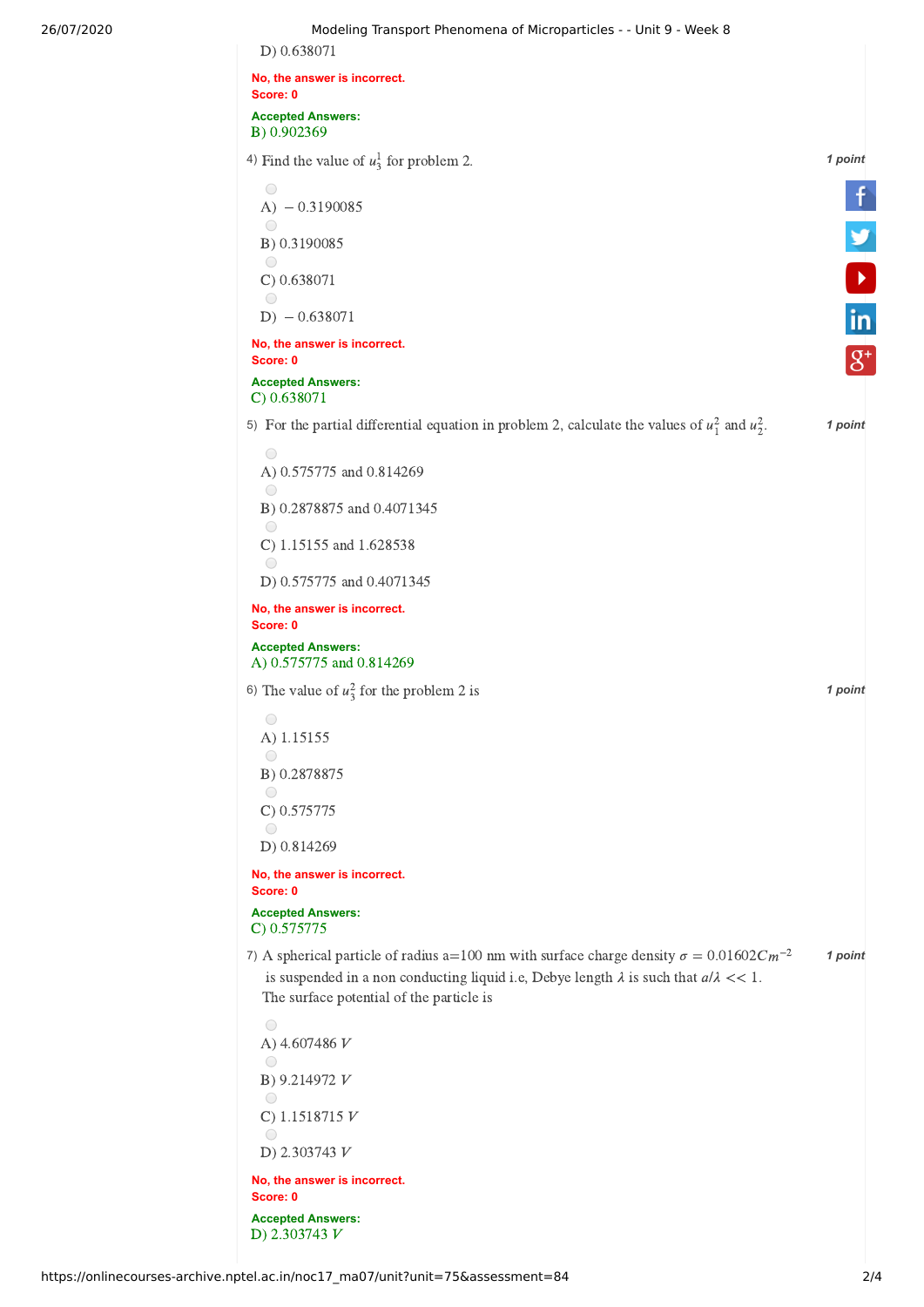| D) 0.638071                                                                                          |                    |
|------------------------------------------------------------------------------------------------------|--------------------|
| No, the answer is incorrect.                                                                         |                    |
| Score: 0                                                                                             |                    |
| <b>Accepted Answers:</b><br>B) 0.902369                                                              |                    |
| 4) Find the value of $u_3^1$ for problem 2.                                                          | 1 point            |
| $\bigcirc$                                                                                           |                    |
| $A) - 0.3190085$                                                                                     |                    |
| $\bigcirc$<br>B) 0.3190085                                                                           | <b>V</b>           |
| $\bigcirc$<br>C) 0.638071                                                                            |                    |
| $\bigcirc$                                                                                           |                    |
| $D) - 0.638071$                                                                                      | in                 |
| No, the answer is incorrect.<br>Score: 0                                                             | $\left g^+\right $ |
| <b>Accepted Answers:</b><br>$C$ ) 0.638071                                                           |                    |
| 5) For the partial differential equation in problem 2, calculate the values of $u_1^2$ and $u_2^2$ . | 1 point            |
| 0                                                                                                    |                    |
| A) 0.575775 and 0.814269<br>$\bigcirc$                                                               |                    |
| B) 0.2878875 and 0.4071345                                                                           |                    |
| $\bigcirc$<br>C) 1.15155 and 1.628538                                                                |                    |
| $\bigcirc$<br>D) 0.575775 and 0.4071345                                                              |                    |
| No, the answer is incorrect.                                                                         |                    |
| Score: 0                                                                                             |                    |
| <b>Accepted Answers:</b><br>A) 0.575775 and 0.814269                                                 |                    |
| 6) The value of $u_3^2$ for the problem 2 is                                                         | 1 point            |
| $\bigcirc$                                                                                           |                    |
| A) 1.15155<br>$\bigcirc$                                                                             |                    |
| B) 0.2878875                                                                                         |                    |
| $\bigcirc$<br>$C$ ) 0.575775                                                                         |                    |
| $\bigcirc$                                                                                           |                    |
| D) 0.814269                                                                                          |                    |
| No, the answer is incorrect.<br>Score: 0                                                             |                    |
| <b>Accepted Answers:</b><br>$C$ ) 0.575775                                                           |                    |
| 7) A spherical particle of radius a=100 nm with surface charge density $\sigma = 0.01602Cm^{-2}$     | 1 point            |
| is suspended in a non conducting liquid i.e, Debye length $\lambda$ is such that $a/\lambda \ll 1$ . |                    |
| The surface potential of the particle is                                                             |                    |
| $\bigcirc$                                                                                           |                    |
| A) 4.607486 V<br>$\bigcirc$                                                                          |                    |
| B) 9.214972 V                                                                                        |                    |
| $\bigcirc$<br>C) 1.1518715 $V$                                                                       |                    |
| $\bigcirc$                                                                                           |                    |
| D) 2.303743 $V$                                                                                      |                    |
| No, the answer is incorrect.<br>Score: 0                                                             |                    |
| <b>Accepted Answers:</b>                                                                             |                    |
| D) 2.303743 $V$                                                                                      |                    |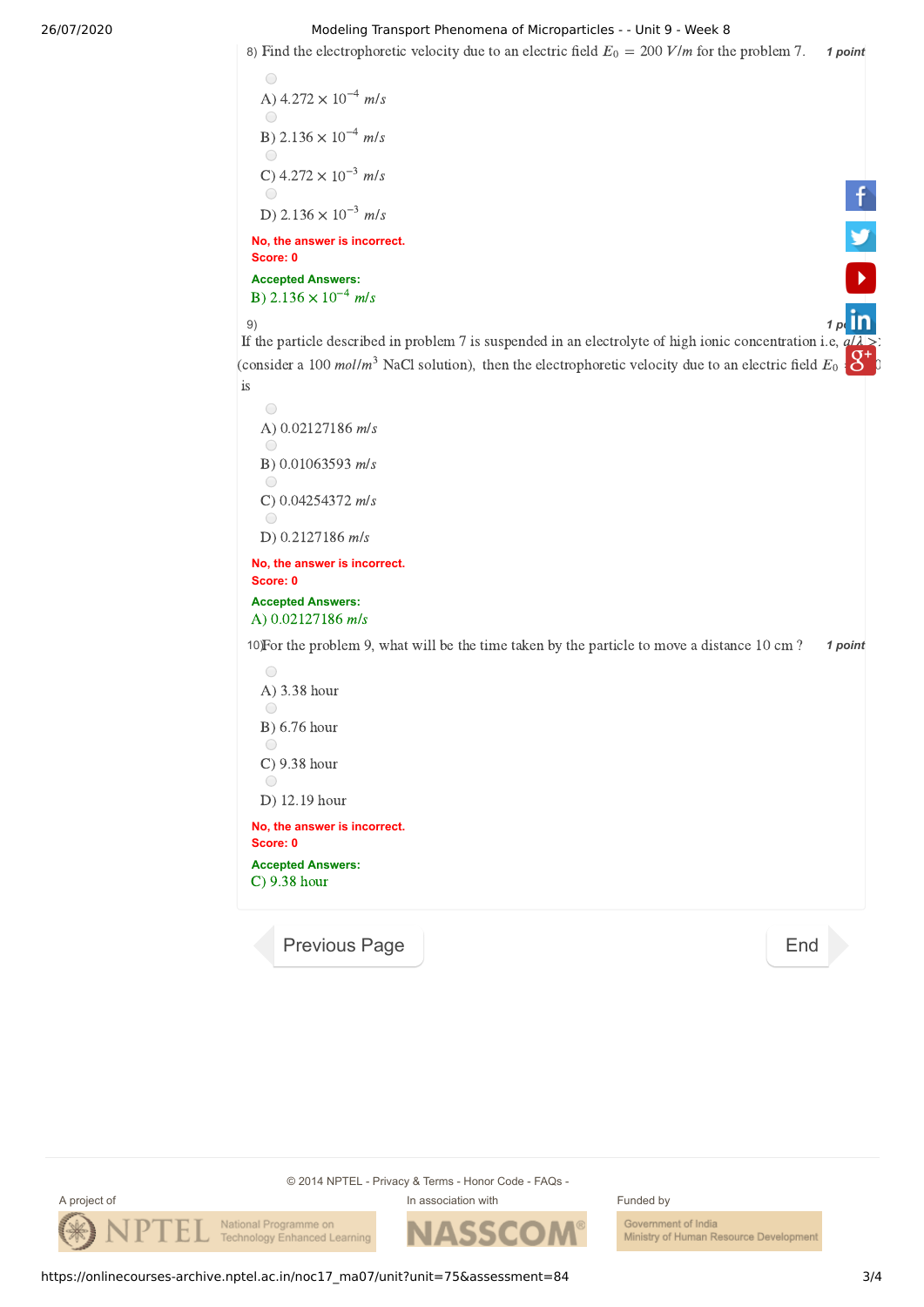## 26/07/2020 Modeling Transport Phenomena of Microparticles - - Unit 9 - Week 8

8) Find the electrophoretic velocity due to an electric field  $E_0 = 200$  V/m for the problem 7. **1 point** 

```
\bigcircA) 4.272 \times 10^{-4} m/s
   \bigcircB) 2.136 \times 10^{-4} m/s
   \bigcircC) 4.272 \times 10^{-3} m/s
   \bigcircD) 2.136 \times 10^{-3} m/s
No, the answer is incorrect.
Score: 0
Accepted Answers:
B) 2.136 \times 10^{-4} m/s
```
9)<br>If the particle described in problem 7 is suspended in an electrolyte of high ionic concentration i.e,  $q/\lambda > 1$ (consider a 100 *mol/m*<sup>3</sup> NaCl solution), then the electrophoretic velocity due to an electric field  $E_0 \cdot Y$ <sup>c</sup> is

 $\bigcirc$ A)  $0.02127186$  m/s  $\bigcap$ B)  $0.01063593$  m/s  $\bigcirc$ C)  $0.04254372$  m/s  $\bigcirc$ D)  $0.2127186$  m/s

**No, the answer is incorrect. Score: 0**

**Accepted Answers:** A)  $0.02127186$  m/s

10) For the problem 9, what will be the time taken by the particle to move a distance 10 cm ? **1 point** 



[Previous Page](https://onlinecourses-archive.nptel.ac.in/noc17_ma07/unit?unit=75&lesson=88) **[End](https://onlinecourses-archive.nptel.ac.in/noc17_ma07/course)** 

© 2014 NPTEL - Privacy & Terms - Honor Code - FAQs -





Government of India Ministry of Human Resource Development

https://onlinecourses-archive.nptel.ac.in/noc17\_ma07/unit?unit=75&assessment=84 3/4